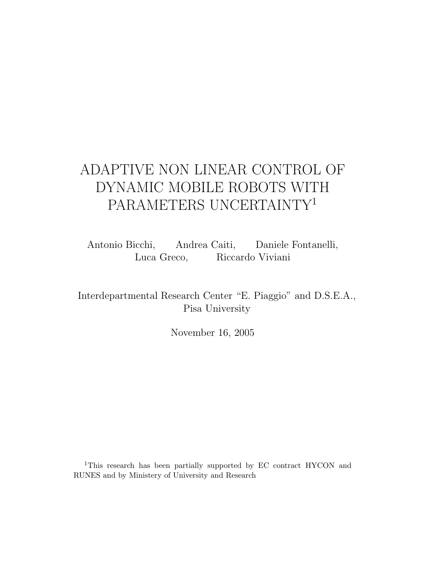# ADAPTIVE NON LINEAR CONTROL OF DYNAMIC MOBILE ROBOTS WITH PARAMETERS UNCERTAINTY<sup>1</sup>

Antonio Bicchi, Andrea Caiti, Daniele Fontanelli, Luca Greco, Riccardo Viviani

Interdepartmental Research Center "E. Piaggio" and D.S.E.A., Pisa University

November 16, 2005

<sup>1</sup>This research has been partially supported by EC contract HYCON and RUNES and by Ministery of University and Research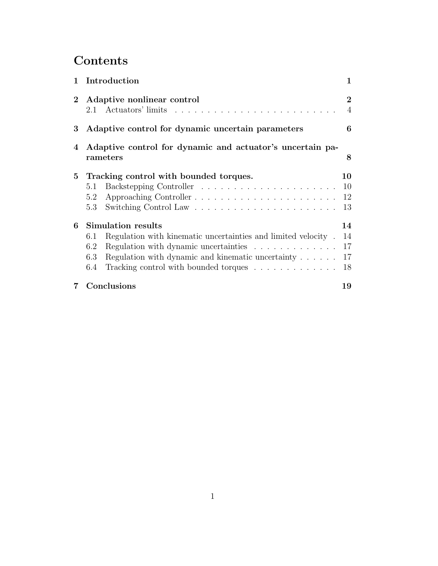# **Contents**

| $\mathbf{1}$   | Introduction                                                          |  | $\mathbf 1$                      |
|----------------|-----------------------------------------------------------------------|--|----------------------------------|
|                | 2 Adaptive nonlinear control                                          |  | $\overline{2}$<br>$\overline{4}$ |
| 3 <sup>1</sup> | Adaptive control for dynamic uncertain parameters                     |  | 6                                |
| 4              | Adaptive control for dynamic and actuator's uncertain pa-<br>rameters |  | 8                                |
|                | 5 Tracking control with bounded torques.                              |  | 10                               |
|                | 5.1                                                                   |  | 10                               |
|                | 5.2                                                                   |  |                                  |
|                | 5.3                                                                   |  | 13                               |
| 6              | Simulation results                                                    |  | 14                               |
|                | Regulation with kinematic uncertainties and limited velocity.<br>6.1  |  | 14                               |
|                | 6.2<br>Regulation with dynamic uncertainties                          |  | 17                               |
|                | Regulation with dynamic and kinematic uncertainty<br>6.3              |  | 17                               |
|                | 6.4                                                                   |  | 18                               |
| 7              | Conclusions                                                           |  | 19                               |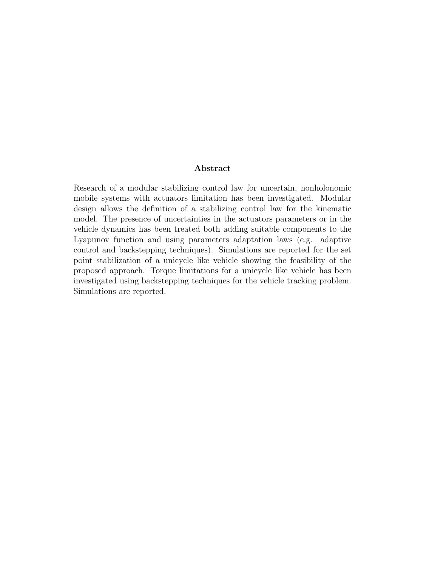#### **Abstract**

Research of a modular stabilizing control law for uncertain, nonholonomic mobile systems with actuators limitation has been investigated. Modular design allows the definition of a stabilizing control law for the kinematic model. The presence of uncertainties in the actuators parameters or in the vehicle dynamics has been treated both adding suitable components to the Lyapunov function and using parameters adaptation laws (e.g. adaptive control and backstepping techniques). Simulations are reported for the set point stabilization of a unicycle like vehicle showing the feasibility of the proposed approach. Torque limitations for a unicycle like vehicle has been investigated using backstepping techniques for the vehicle tracking problem. Simulations are reported.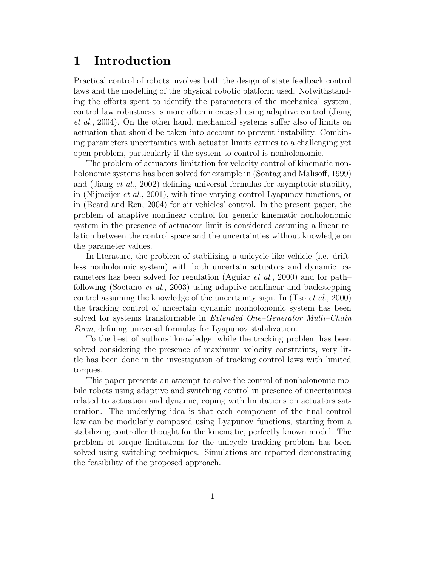## **1 Introduction**

Practical control of robots involves both the design of state feedback control laws and the modelling of the physical robotic platform used. Notwithstanding the efforts spent to identify the parameters of the mechanical system, control law robustness is more often increased using adaptive control (Jiang *et al.*, 2004). On the other hand, mechanical systems suffer also of limits on actuation that should be taken into account to prevent instability. Combining parameters uncertainties with actuator limits carries to a challenging yet open problem, particularly if the system to control is nonholonomic.

The problem of actuators limitation for velocity control of kinematic nonholonomic systems has been solved for example in (Sontag and Malisoff, 1999) and (Jiang *et al.*, 2002) defining universal formulas for asymptotic stability, in (Nijmeijer *et al.*, 2001), with time varying control Lyapunov functions, or in (Beard and Ren, 2004) for air vehicles' control. In the present paper, the problem of adaptive nonlinear control for generic kinematic nonholonomic system in the presence of actuators limit is considered assuming a linear relation between the control space and the uncertainties without knowledge on the parameter values.

In literature, the problem of stabilizing a unicycle like vehicle (i.e. driftless nonholonmic system) with both uncertain actuators and dynamic parameters has been solved for regulation (Aguiar *et al.*, 2000) and for path– following (Soetano *et al.*, 2003) using adaptive nonlinear and backstepping control assuming the knowledge of the uncertainty sign. In (Tso *et al.*, 2000) the tracking control of uncertain dynamic nonholonomic system has been solved for systems transformable in *Extended One–Generator Multi–Chain Form*, defining universal formulas for Lyapunov stabilization.

To the best of authors' knowledge, while the tracking problem has been solved considering the presence of maximum velocity constraints, very little has been done in the investigation of tracking control laws with limited torques.

This paper presents an attempt to solve the control of nonholonomic mobile robots using adaptive and switching control in presence of uncertainties related to actuation and dynamic, coping with limitations on actuators saturation. The underlying idea is that each component of the final control law can be modularly composed using Lyapunov functions, starting from a stabilizing controller thought for the kinematic, perfectly known model. The problem of torque limitations for the unicycle tracking problem has been solved using switching techniques. Simulations are reported demonstrating the feasibility of the proposed approach.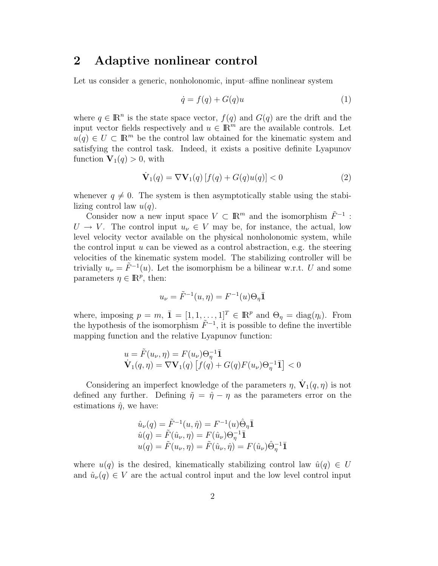## **2 Adaptive nonlinear control**

Let us consider a generic, nonholonomic, input–affine nonlinear system

$$
\dot{q} = f(q) + G(q)u\tag{1}
$$

where  $q \in \mathbb{R}^n$  is the state space vector,  $f(q)$  and  $G(q)$  are the drift and the input vector fields respectively and  $u \in \mathbb{R}^m$  are the available controls. Let  $u(q) \in U \subset \mathbb{R}^m$  be the control law obtained for the kinematic system and satisfying the control task. Indeed, it exists a positive definite Lyapunov function  $V_1(q) > 0$ , with

$$
\dot{\mathbf{V}}_1(q) = \nabla \mathbf{V}_1(q) \left[ f(q) + G(q)u(q) \right] < 0 \tag{2}
$$

whenever  $q \neq 0$ . The system is then asymptotically stable using the stabilizing control law  $u(q)$ .

Consider now a new input space  $V \subset \mathbb{R}^m$  and the isomorphism  $\tilde{F}^{-1}$ :  $U \rightarrow V$ . The control input  $u_{\nu} \in V$  may be, for instance, the actual, low level velocity vector available on the physical nonholonomic system, while the control input  $u$  can be viewed as a control abstraction, e.g. the steering velocities of the kinematic system model. The stabilizing controller will be trivially  $u_{\nu} = \tilde{F}^{-1}(u)$ . Let the isomorphism be a bilinear w.r.t. U and some parameters  $\eta \in \mathbb{R}^p$ , then:

$$
u_{\nu} = \tilde{F}^{-1}(u,\eta) = F^{-1}(u)\Theta_{\eta}\bar{\mathbf{1}}
$$

where, imposing  $p = m$ ,  $\bar{\mathbf{1}} = [1, 1, \ldots, 1]^T \in \mathbb{R}^p$  and  $\Theta_{\eta} = \text{diag}(\eta_i)$ . From the hypothesis of the isomorphism  $F^{-1}$ , it is possible to define the invertible mapping function and the relative Lyapunov function:

$$
u = \tilde{F}(u_{\nu}, \eta) = F(u_{\nu})\Theta_{\eta}^{-1}\overline{\mathbf{1}}
$$
  

$$
\dot{\mathbf{V}}_1(q, \eta) = \nabla \mathbf{V}_1(q) \left[ f(q) + G(q)F(u_{\nu})\Theta_{\eta}^{-1}\overline{\mathbf{1}} \right] < 0
$$

Considering an imperfect knowledge of the parameters  $\eta$ ,  $\dot{\mathbf{V}}_1(q,\eta)$  is not defined any further. Defining  $\tilde{\eta} = \hat{\eta} - \eta$  as the parameters error on the estimations  $\hat{\eta}$ , we have:

$$
\hat{u}_{\nu}(q) = \tilde{F}^{-1}(u, \hat{\eta}) = F^{-1}(u)\hat{\Theta}_{\eta}\bar{\mathbf{1}} \n\hat{u}(q) = \tilde{F}(\hat{u}_{\nu}, \eta) = F(\hat{u}_{\nu})\Theta_{\eta}^{-1}\bar{\mathbf{1}} \nu(q) = \tilde{F}(u_{\nu}, \eta) = \tilde{F}(\hat{u}_{\nu}, \hat{\eta}) = F(\hat{u}_{\nu})\hat{\Theta}_{\eta}^{-1}\bar{\mathbf{1}}
$$

where  $u(q)$  is the desired, kinematically stabilizing control law  $\hat{u}(q) \in U$ and  $\hat{u}_{\nu}(q) \in V$  are the actual control input and the low level control input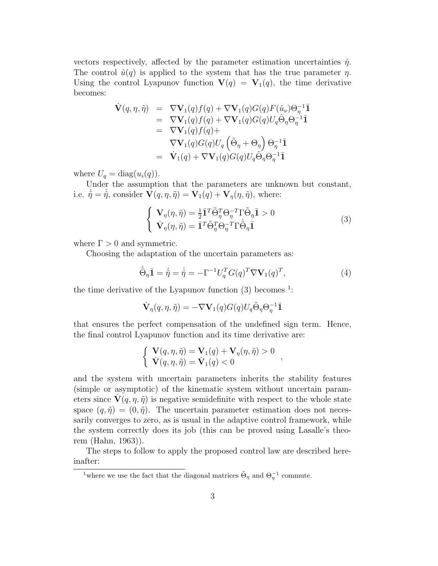vectors respectively, affected by the parameter estimation uncertainties  $\hat{\eta}$ . The control  $\hat{u}(q)$  is applied to the system that has the true parameter  $\eta$ . Using the control Lyapunov function  $\mathbf{V}(q) = \mathbf{V}_1(q)$ , the time derivative becomes:

$$
\dot{\mathbf{V}}(q,\eta,\tilde{\eta}) = \nabla \mathbf{V}_1(q)f(q) + \nabla \mathbf{V}_1(q)G(q)F(\hat{u}_{\nu})\Theta_{\eta}^{-1}\mathbf{I} \n= \nabla \mathbf{V}_1(q)f(q) + \nabla \mathbf{V}_1(q)G(q)U_q\hat{\Theta}_{\eta}\Theta_{\eta}^{-1}\mathbf{I} \n= \nabla \mathbf{V}_1(q)f(q) + \n\nabla \mathbf{V}_1(q)G(q)U_q(\tilde{\Theta}_{\eta} + \Theta_{\eta})\Theta_{\eta}^{-1}\mathbf{I} \n= \nabla_1(q) + \nabla \mathbf{V}_1(q)G(q)U_q\tilde{\Theta}_{\eta}\Theta_{\eta}^{-1}\mathbf{I}
$$

where  $U_q = \text{diag}(u_i(q))$ .

Under the assumption that the parameters are unknown but constant, i.e.  $\dot{\tilde{\eta}} = \dot{\tilde{\eta}}$ , consider  $\mathbf{V}(q, \eta, \tilde{\eta}) = \mathbf{V}_1(q) + \mathbf{V}_\eta(\eta, \tilde{\eta})$ , where:

$$
\begin{cases}\n\mathbf{V}_{\eta}(\eta,\tilde{\eta}) = \frac{1}{2}\bar{\mathbf{I}}^T\tilde{\Theta}_{\eta}^T\Theta_{\eta}^{-T}\Gamma\tilde{\Theta}_{\eta}\bar{\mathbf{I}} > 0\\ \n\dot{\mathbf{V}}_{\eta}(\eta,\tilde{\eta}) = \bar{\mathbf{I}}^T\tilde{\Theta}_{\eta}^T\Theta_{\eta}^{-T}\Gamma\dot{\tilde{\Theta}}_{\eta}\bar{\mathbf{I}}\n\end{cases}
$$
\n(3)

where  $\Gamma > 0$  and symmetric.

Choosing the adaptation of the uncertain parameters as:

$$
\dot{\tilde{\Theta}}_{\eta} \mathbf{I} = \dot{\tilde{\eta}} = \dot{\tilde{\eta}} = -\Gamma^{-1} U_q^T G(q)^T \nabla \mathbf{V}_1(q)^T, \tag{4}
$$

the time derivative of the Lyapunov function  $(3)$  becomes <sup>1</sup>:

$$
\dot{\mathbf{V}}_{\eta}(q,\eta,\tilde{\eta}) = -\nabla \mathbf{V}_1(q)G(q)U_q\tilde{\Theta}_{\eta}\Theta_{\eta}^{-1}\bar{\mathbf{1}}
$$

that ensures the perfect compensation of the undefined sign term. Hence, the final control Lyapunov function and its time derivative are:

$$
\left\{\begin{array}{l}\n\mathbf{V}(q,\eta,\tilde{\eta})=\mathbf{V}_{1}(q)+\mathbf{V}_{\eta}(\eta,\tilde{\eta})>0\\
\mathbf{V}(q,\eta,\tilde{\eta})=\mathbf{V}_{1}(q)<0\n\end{array}\right.,
$$

and the system with uncertain parameters inherits the stability features (simple or asymptotic) of the kinematic system without uncertain parameters since  $\mathbf{V}(q, \eta, \tilde{\eta})$  is negative semidefinite with respect to the whole state space  $(q, \tilde{\eta}) = (0, \tilde{\eta})$ . The uncertain parameter estimation does not necessarily converges to zero, as is usual in the adaptive control framework, while the system correctly does its job (this can be proved using Lasalle's theorem (Hahn, 1963)).

The steps to follow to apply the proposed control law are described hereinafter:

<sup>&</sup>lt;sup>1</sup>where we use the fact that the diagonal matrices  $\tilde{\Theta}_{\eta}$  and  $\Theta_{\eta}^{-1}$  commute.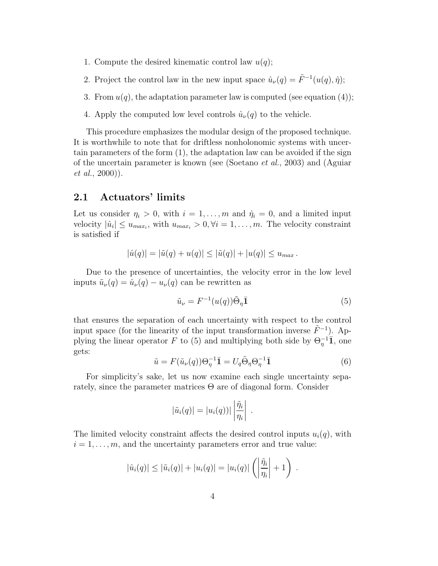- 1. Compute the desired kinematic control law  $u(q)$ ;
- 2. Project the control law in the new input space  $\hat{u}_{\nu}(q) = \tilde{F}^{-1}(u(q), \hat{\eta});$
- 3. From  $u(q)$ , the adaptation parameter law is computed (see equation (4));
- 4. Apply the computed low level controls  $\hat{u}_{\nu}(q)$  to the vehicle.

This procedure emphasizes the modular design of the proposed technique. It is worthwhile to note that for driftless nonholonomic systems with uncertain parameters of the form (1), the adaptation law can be avoided if the sign of the uncertain parameter is known (see (Soetano *et al.*, 2003) and (Aguiar *et al.*, 2000)).

#### **2.1 Actuators' limits**

Let us consider  $\eta_i > 0$ , with  $i = 1, \ldots, m$  and  $\dot{\eta}_i = 0$ , and a limited input velocity  $|\hat{u}_i| \leq u_{max_i}$ , with  $u_{max_i} > 0, \forall i = 1, \ldots, m$ . The velocity constraint is satisfied if

$$
|\hat{u}(q)| = |\tilde{u}(q) + u(q)| \leq |\tilde{u}(q)| + |u(q)| \leq u_{max}.
$$

Due to the presence of uncertainties, the velocity error in the low level inputs  $\tilde{u}_{\nu}(q) = \hat{u}_{\nu}(q) - u_{\nu}(q)$  can be rewritten as

$$
\tilde{u}_{\nu} = F^{-1}(u(q))\tilde{\Theta}_{\eta}\bar{\mathbf{1}}\tag{5}
$$

that ensures the separation of each uncertainty with respect to the control input space (for the linearity of the input transformation inverse  $\tilde{F}^{-1}$ ). Applying the linear operator F to (5) and multiplying both side by  $\Theta_n^{-1}$ **T**, one gets:

$$
\tilde{u} = F(\tilde{u}_{\nu}(q))\Theta_{\eta}^{-1}\bar{1} = U_q \tilde{\Theta}_{\eta} \Theta_{\eta}^{-1}\bar{1}
$$
\n(6)

For simplicity's sake, let us now examine each single uncertainty separately, since the parameter matrices  $\Theta$  are of diagonal form. Consider

$$
|\tilde{u}_i(q)| = |u_i(q)| \left| \frac{\tilde{\eta}_i}{\eta_i} \right| .
$$

The limited velocity constraint affects the desired control inputs  $u_i(q)$ , with  $i = 1, \ldots, m$ , and the uncertainty parameters error and true value:

$$
|\hat{u}_i(q)| \leq |\tilde{u}_i(q)| + |u_i(q)| = |u_i(q)| \left( \left| \frac{\tilde{\eta}_i}{\eta_i} \right| + 1 \right) .
$$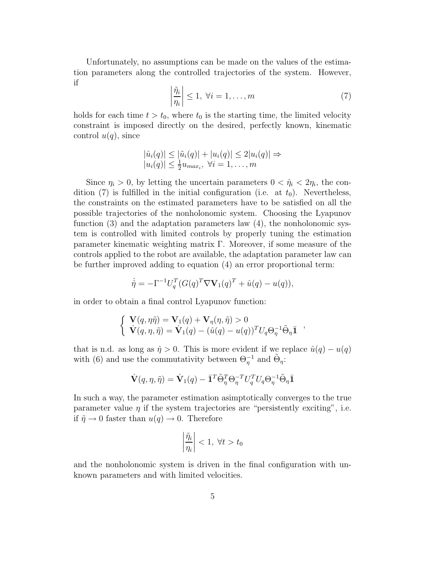Unfortunately, no assumptions can be made on the values of the estimation parameters along the controlled trajectories of the system. However, if

$$
\left|\frac{\tilde{\eta}_i}{\eta_i}\right| \le 1, \ \forall i = 1, \dots, m \tag{7}
$$

holds for each time  $t>t_0$ , where  $t_0$  is the starting time, the limited velocity constraint is imposed directly on the desired, perfectly known, kinematic control  $u(q)$ , since

$$
|\hat{u}_i(q)| \leq |\tilde{u}_i(q)| + |u_i(q)| \leq 2|u_i(q)| \Rightarrow
$$
  

$$
|u_i(q)| \leq \frac{1}{2}u_{max_i}, \forall i = 1, ..., m
$$

Since  $\eta_i > 0$ , by letting the uncertain parameters  $0 < \hat{\eta}_i < 2\eta_i$ , the condition (7) is fulfilled in the initial configuration (i.e. at  $t_0$ ). Nevertheless, the constraints on the estimated parameters have to be satisfied on all the possible trajectories of the nonholonomic system. Choosing the Lyapunov function  $(3)$  and the adaptation parameters law  $(4)$ , the nonholonomic system is controlled with limited controls by properly tuning the estimation parameter kinematic weighting matrix Γ. Moreover, if some measure of the controls applied to the robot are available, the adaptation parameter law can be further improved adding to equation (4) an error proportional term:

$$
\dot{\hat{\eta}} = -\Gamma^{-1}U_q^T(G(q)^T \nabla \mathbf{V}_1(q)^T + \hat{u}(q) - u(q)),
$$

in order to obtain a final control Lyapunov function:

$$
\begin{cases} \mathbf{V}(q,\eta\tilde{\eta}) = \mathbf{V}_1(q) + \mathbf{V}_{\eta}(\eta,\tilde{\eta}) > 0 \\ \dot{\mathbf{V}}(q,\eta,\tilde{\eta}) = \dot{\mathbf{V}}_1(q) - (\hat{u}(q) - u(q))^T U_q \Theta_{\eta}^{-1} \tilde{\Theta}_{\eta} \mathbf{I} \end{cases},
$$

that is n.d. as long as  $\hat{\eta} > 0$ . This is more evident if we replace  $\hat{u}(q) - u(q)$ with (6) and use the commutativity between  $\Theta_n^{-1}$  and  $\tilde{\Theta}_n$ :

$$
\dot{\mathbf{V}}(q,\eta,\tilde{\eta}) = \dot{\mathbf{V}}_1(q) - \bar{\mathbf{1}}^T \tilde{\Theta}_{\eta}^T \Theta_{\eta}^{-T} U_q^T U_q \Theta_{\eta}^{-1} \tilde{\Theta}_{\eta} \bar{\mathbf{1}}
$$

In such a way, the parameter estimation asimptotically converges to the true parameter value  $\eta$  if the system trajectories are "persistently exciting", i.e. if  $\tilde{\eta} \to 0$  faster than  $u(q) \to 0$ . Therefore

$$
\left|\frac{\tilde{\eta}_i}{\eta_i}\right| < 1, \ \forall t > t_0
$$

and the nonholonomic system is driven in the final configuration with unknown parameters and with limited velocities.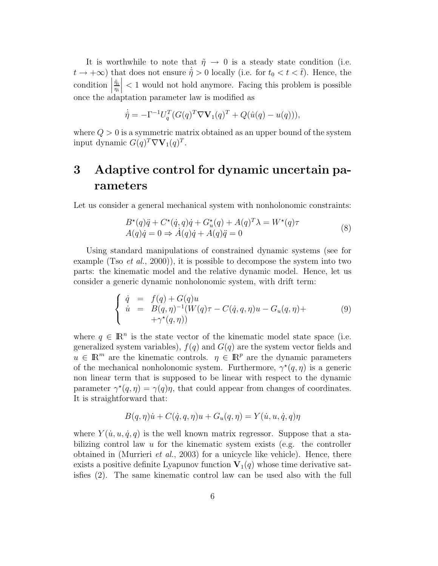It is worthwhile to note that  $\tilde{\eta} \to 0$  is a steady state condition (i.e.  $t \to +\infty$ ) that does not ensure  $\dot{\tilde{\eta}} > 0$  locally (i.e. for  $t_0 < t < \bar{t}$ ). Hence, the  $\left| \begin{array}{c} \text{condition} \\ \text{since the } \end{array} \right|$  $\tilde{\eta}_i$  $\frac{1}{\eta_i}$  $\begin{array}{c} \hline \end{array}$ < 1 would not hold anymore. Facing this problem is possible once the adaptation parameter law is modified as

$$
\dot{\hat{\eta}} = -\Gamma^{-1} U_q^T (G(q)^T \nabla \mathbf{V}_1(q)^T + Q(\hat{u}(q) - u(q))),
$$

where  $Q > 0$  is a symmetric matrix obtained as an upper bound of the system input dynamic  $G(q)^T \nabla V_1(q)^T$ .

# **3 Adaptive control for dynamic uncertain parameters**

Let us consider a general mechanical system with nonholonomic constraints:

$$
B^*(q)\ddot{q} + C^*(\dot{q}, q)\dot{q} + G^*_u(q) + A(q)^T \lambda = W^*(q)\tau
$$
  
\n
$$
A(q)\dot{q} = 0 \Rightarrow \dot{A}(q)\dot{q} + A(q)\ddot{q} = 0
$$
\n(8)

Using standard manipulations of constrained dynamic systems (see for example (Tso *et al.*, 2000)), it is possible to decompose the system into two parts: the kinematic model and the relative dynamic model. Hence, let us consider a generic dynamic nonholonomic system, with drift term:

$$
\begin{cases}\n\dot{q} = f(q) + G(q)u \\
\dot{u} = B(q, \eta)^{-1}(W(q)\tau - C(\dot{q}, q, \eta)u - G_u(q, \eta)) + \\
+\gamma^*(q, \eta))\n\end{cases} \tag{9}
$$

where  $q \in \mathbb{R}^n$  is the state vector of the kinematic model state space (i.e. generalized system variables),  $f(q)$  and  $G(q)$  are the system vector fields and  $u \in \mathbb{R}^m$  are the kinematic controls.  $\eta \in \mathbb{R}^p$  are the dynamic parameters of the mechanical nonholonomic system. Furthermore,  $\gamma^*(q, \eta)$  is a generic non linear term that is supposed to be linear with respect to the dynamic parameter  $\gamma^*(q, \eta) = \gamma(q)\eta$ , that could appear from changes of coordinates. It is straightforward that:

$$
B(q,\eta)\dot{u} + C(\dot{q},q,\eta)u + G_u(q,\eta) = Y(\dot{u},u,\dot{q},q)\eta
$$

where  $Y(\dot{u}, u, \dot{q}, q)$  is the well known matrix regressor. Suppose that a stabilizing control law  $u$  for the kinematic system exists (e.g. the controller obtained in (Murrieri *et al.*, 2003) for a unicycle like vehicle). Hence, there exists a positive definite Lyapunov function  $V_1(q)$  whose time derivative satisfies (2). The same kinematic control law can be used also with the full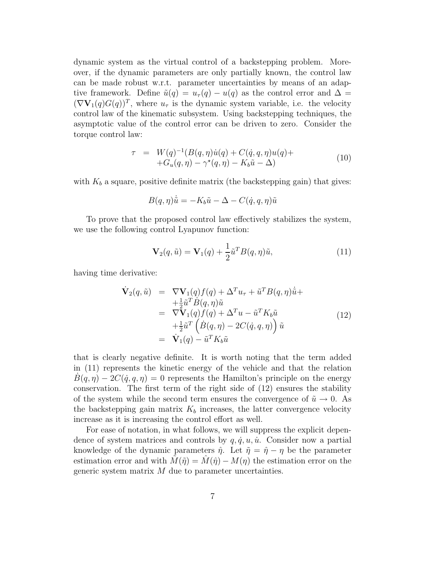dynamic system as the virtual control of a backstepping problem. Moreover, if the dynamic parameters are only partially known, the control law can be made robust w.r.t. parameter uncertainties by means of an adaptive framework. Define  $\tilde{u}(q) = u_{\tau}(q) - u(q)$  as the control error and  $\Delta =$  $(\nabla \mathbf{V}_1(q)G(q))^T$ , where  $u_\tau$  is the dynamic system variable, i.e. the velocity control law of the kinematic subsystem. Using backstepping techniques, the asymptotic value of the control error can be driven to zero. Consider the torque control law:

$$
\tau = W(q)^{-1}(B(q, \eta)u(q) + C(\dot{q}, q, \eta)u(q) ++G_u(q, \eta) - \gamma^*(q, \eta) - K_b \tilde{u} - \Delta)
$$
\n(10)

with  $K_b$  a square, positive definite matrix (the backstepping gain) that gives:

$$
B(q,\eta)\dot{\tilde{u}} = -K_b\tilde{u} - \Delta - C(\dot{q}, q, \eta)\tilde{u}
$$

To prove that the proposed control law effectively stabilizes the system, we use the following control Lyapunov function:

$$
\mathbf{V}_2(q,\tilde{u}) = \mathbf{V}_1(q) + \frac{1}{2}\tilde{u}^T B(q,\eta)\tilde{u},\tag{11}
$$

having time derivative:

$$
\dot{\mathbf{V}}_2(q,\tilde{u}) = \nabla \mathbf{V}_1(q) f(q) + \Delta^T u_\tau + \tilde{u}^T B(q,\eta) \dot{\tilde{u}} +\n+ \frac{1}{2} \tilde{u}^T \dot{B}(q,\eta) \tilde{u} \n= \nabla \mathbf{V}_1(q) f(q) + \Delta^T u - \tilde{u}^T K_b \tilde{u} \n+ \frac{1}{2} \tilde{u}^T \left( \dot{B}(q,\eta) - 2C(\dot{q},q,\eta) \right) \tilde{u} \n= \dot{\mathbf{V}}_1(q) - \tilde{u}^T K_b \tilde{u}
$$
\n(12)

that is clearly negative definite. It is worth noting that the term added in (11) represents the kinetic energy of the vehicle and that the relation  $B(q, \eta) - 2C(\dot{q}, q, \eta) = 0$  represents the Hamilton's principle on the energy conservation. The first term of the right side of (12) ensures the stability of the system while the second term ensures the convergence of  $\tilde{u} \to 0$ . As the backstepping gain matrix  $K_b$  increases, the latter convergence velocity increase as it is increasing the control effort as well.

For ease of notation, in what follows, we will suppress the explicit dependence of system matrices and controls by  $q, \dot{q}, u, \dot{u}$ . Consider now a partial knowledge of the dynamic parameters  $\hat{\eta}$ . Let  $\tilde{\eta} = \hat{\eta} - \eta$  be the parameter estimation error and with  $M(\tilde{\eta}) = M(\hat{\eta}) - M(\eta)$  the estimation error on the generic system matrix  $M$  due to parameter uncertainties.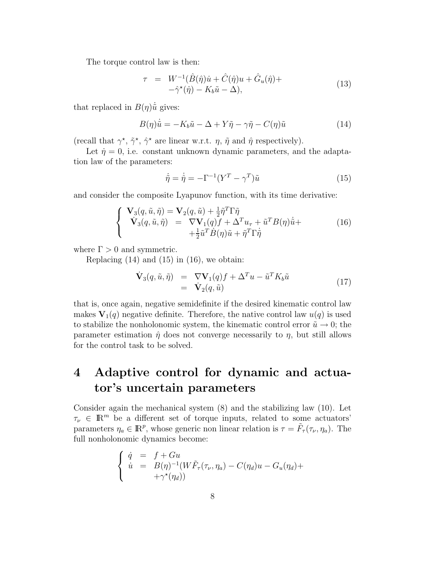The torque control law is then:

$$
\tau = W^{-1}(\hat{B}(\hat{\eta})\dot{u} + \hat{C}(\hat{\eta})u + \hat{G}_u(\hat{\eta}) +
$$
  
 
$$
-\hat{\gamma}^*(\hat{\eta}) - K_b\tilde{u} - \Delta),
$$
 (13)

that replaced in  $B(\eta)\tilde{u}$  gives:

$$
B(\eta)\dot{\tilde{u}} = -K_b\tilde{u} - \Delta + Y\tilde{\eta} - \gamma\tilde{\eta} - C(\eta)\tilde{u}
$$
\n(14)

(recall that  $\gamma^*, \tilde{\gamma}^*, \hat{\gamma}^*$  are linear w.r.t.  $\eta, \tilde{\eta}$  and  $\hat{\eta}$  respectively).

Let  $\dot{\eta} = 0$ , i.e. constant unknown dynamic parameters, and the adaptation law of the parameters:

$$
\dot{\tilde{\eta}} = \dot{\tilde{\eta}} = -\Gamma^{-1}(Y^T - \gamma^T)\tilde{u}
$$
\n(15)

and consider the composite Lyapunov function, with its time derivative:

$$
\begin{cases}\n\mathbf{V}_{3}(q,\tilde{u},\tilde{\eta}) = \mathbf{V}_{2}(q,\tilde{u}) + \frac{1}{2}\tilde{\eta}^{T}\Gamma\tilde{\eta} \\
\mathbf{V}_{3}(q,\tilde{u},\tilde{\eta}) = \nabla\mathbf{V}_{1}(q)f + \Delta^{T}u_{\tau} + \tilde{u}^{T}B(\eta)\dot{\tilde{u}} + \\
+ \frac{1}{2}\tilde{u}^{T}\dot{B}(\eta)\tilde{u} + \tilde{\eta}^{T}\Gamma\dot{\tilde{\eta}}\n\end{cases}
$$
\n(16)

where  $\Gamma > 0$  and symmetric.

Replacing  $(14)$  and  $(15)$  in  $(16)$ , we obtain:

$$
\dot{\mathbf{V}}_3(q,\tilde{u},\tilde{\eta}) = \nabla \mathbf{V}_1(q)f + \Delta^T u - \tilde{u}^T K_b \tilde{u} \n= \dot{\mathbf{V}}_2(q,\tilde{u})
$$
\n(17)

that is, once again, negative semidefinite if the desired kinematic control law makes  $V_1(q)$  negative definite. Therefore, the native control law  $u(q)$  is used to stabilize the nonholonomic system, the kinematic control error  $\tilde{u} \to 0$ ; the parameter estimation  $\hat{\eta}$  does not converge necessarily to  $\eta$ , but still allows for the control task to be solved.

# **4 Adaptive control for dynamic and actuator's uncertain parameters**

Consider again the mechanical system (8) and the stabilizing law (10). Let  $\tau_{\nu} \in \mathbb{R}^m$  be a different set of torque inputs, related to some actuators' parameters  $\eta_a \in \mathbb{R}^p$ , whose generic non linear relation is  $\tau = \tilde{F}_{\tau}(\tau_{\nu}, \eta_a)$ . The full nonholonomic dynamics become:

$$
\begin{cases}\n\dot{q} = f + Gu \\
\dot{u} = B(\eta)^{-1}(W\tilde{F}_{\tau}(\tau_{\nu}, \eta_{a}) - C(\eta_{d})u - G_{u}(\eta_{d}) + \\
+ \gamma^{\star}(\eta_{d}))\n\end{cases}
$$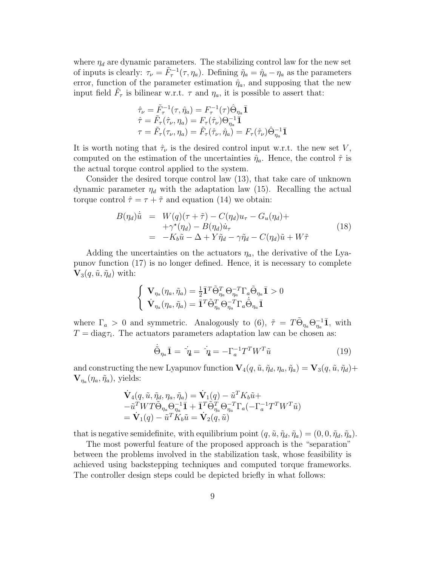where  $\eta_d$  are dynamic parameters. The stabilizing control law for the new set of inputs is clearly:  $\tau_{\nu} = \tilde{F}_{\tau}^{-1}(\tau, \eta_a)$ . Defining  $\tilde{\eta}_a = \hat{\eta}_a - \eta_a$  as the parameters error, function of the parameter estimation  $\hat{\eta}_a$ , and supposing that the new input field  $F_{\tau}$  is bilinear w.r.t.  $\tau$  and  $\eta_a$ , it is possible to assert that:

$$
\begin{aligned}\n\hat{\tau}_{\nu} &= \tilde{F}_{\tau}^{-1}(\tau, \hat{\eta}_a) = F_{\tau}^{-1}(\tau) \hat{\Theta}_{\eta_a} \overline{\mathbf{1}} \\
\hat{\tau} &= \tilde{F}_{\tau}(\hat{\tau}_{\nu}, \eta_a) = F_{\tau}(\hat{\tau}_{\nu}) \Theta_{\eta_a}^{-1} \overline{\mathbf{1}} \\
\tau &= \tilde{F}_{\tau}(\tau_{\nu}, \eta_a) = \tilde{F}_{\tau}(\hat{\tau}_{\nu}, \hat{\eta}_a) = F_{\tau}(\hat{\tau}_{\nu}) \hat{\Theta}_{\eta_a}^{-1} \overline{\mathbf{1}}\n\end{aligned}
$$

It is worth noting that  $\hat{\tau}_{\nu}$  is the desired control input w.r.t. the new set V, computed on the estimation of the uncertainties  $\hat{\eta}_a$ . Hence, the control  $\hat{\tau}$  is the actual torque control applied to the system.

Consider the desired torque control law (13), that take care of unknown dynamic parameter  $\eta_d$  with the adaptation law (15). Recalling the actual torque control  $\hat{\tau} = \tau + \tilde{\tau}$  and equation (14) we obtain:

$$
B(\eta_d)\dot{\tilde{u}} = W(q)(\tau + \tilde{\tau}) - C(\eta_d)u_{\tau} - G_u(\eta_d) +
$$
  
 
$$
+ \gamma^*(\eta_d) - B(\eta_d)\dot{u}_{\tau}
$$
  
 
$$
= -K_b\tilde{u} - \Delta + Y\tilde{\eta}_d - \gamma\tilde{\eta}_d - C(\eta_d)\tilde{u} + W\tilde{\tau}
$$
 (18)

Adding the uncertainties on the actuators  $\eta_a$ , the derivative of the Lyapunov function (17) is no longer defined. Hence, it is necessary to complete  $\mathbf{V}_3(q,\tilde{u},\tilde{\eta}_d)$  with:

$$
\begin{cases}\n\mathbf{V}_{\eta_a}(\eta_a, \tilde{\eta}_a) = \frac{1}{2}\bar{\mathbf{I}}^T \tilde{\Theta}_{\eta_a}^T \Theta_{\eta_a}^{-T} \Gamma_a \tilde{\Theta}_{\eta_a} \bar{\mathbf{I}} > 0 \\
\dot{\mathbf{V}}_{\eta_a}(\eta_a, \tilde{\eta}_a) = \bar{\mathbf{I}}^T \tilde{\Theta}_{\eta_a}^T \Theta_{\eta_a}^{-T} \Gamma_a \dot{\tilde{\Theta}}_{\eta_a} \bar{\mathbf{I}}\n\end{cases}
$$

where  $\Gamma_a > 0$  and symmetric. Analogously to (6),  $\tilde{\tau} = T \tilde{\Theta}_{\eta_a} \Theta_{\eta_a}^{-1} \bar{\mathbf{1}}$ , with  $T = diag\tau_i$ . The actuators parameters adaptation law can be chosen as:

$$
\dot{\tilde{\Theta}}_{\eta_a} \bar{1} = \dot{\eta}_a = \dot{\eta}_a = -\Gamma_a^{-1} T^T W^T \tilde{u}
$$
\n(19)

and constructing the new Lyapunov function  $\mathbf{V}_4(q, \tilde{u}, \tilde{\eta}_d, \eta_a, \tilde{\eta}_a) = \mathbf{V}_3(q, \tilde{u}, \tilde{\eta}_d) +$  $\mathbf{V}_{\eta_a}(\eta_a, \tilde{\eta}_a)$ , yields:

$$
\dot{\mathbf{V}}_4(q, \tilde{u}, \tilde{\eta}_d, \eta_a, \tilde{\eta}_a) = \dot{\mathbf{V}}_1(q) - \tilde{u}^T K_b \tilde{u} + -\tilde{u}^T W T \tilde{\Theta}_{\eta_a} \Theta_{\eta_a}^{-1} \tilde{\mathbf{I}} + \tilde{\mathbf{I}}^T \tilde{\Theta}_{\eta_a}^T \Theta_{\eta_a}^{-T} \Gamma_a (-\Gamma_a^{-1} T^T W^T \tilde{u}) = \dot{\mathbf{V}}_1(q) - \tilde{u}^T K_b \tilde{u} = \dot{\mathbf{V}}_2(q, \tilde{u})
$$

that is negative semidefinite, with equilibrium point  $(q, \tilde{u}, \tilde{\eta}_d, \tilde{\eta}_a) = (0, 0, \tilde{\eta}_d, \tilde{\eta}_a)$ .

The most powerful feature of the proposed approach is the "separation" between the problems involved in the stabilization task, whose feasibility is achieved using backstepping techniques and computed torque frameworks. The controller design steps could be depicted briefly in what follows: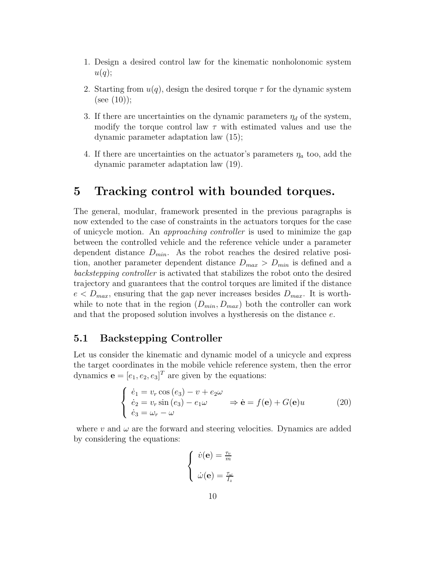- 1. Design a desired control law for the kinematic nonholonomic system  $u(q);$
- 2. Starting from  $u(q)$ , design the desired torque  $\tau$  for the dynamic system (see  $(10)$ );
- 3. If there are uncertainties on the dynamic parameters  $\eta_d$  of the system, modify the torque control law  $\tau$  with estimated values and use the dynamic parameter adaptation law (15);
- 4. If there are uncertainties on the actuator's parameters  $\eta_a$  too, add the dynamic parameter adaptation law (19).

## **5 Tracking control with bounded torques.**

The general, modular, framework presented in the previous paragraphs is now extended to the case of constraints in the actuators torques for the case of unicycle motion. An *approaching controller* is used to minimize the gap between the controlled vehicle and the reference vehicle under a parameter dependent distance  $D_{min}$ . As the robot reaches the desired relative position, another parameter dependent distance  $D_{max} > D_{min}$  is defined and a *backstepping controller* is activated that stabilizes the robot onto the desired trajectory and guarantees that the control torques are limited if the distance  $e < D_{max}$ , ensuring that the gap never increases besides  $D_{max}$ . It is worthwhile to note that in the region  $(D_{min}, D_{max})$  both the controller can work and that the proposed solution involves a hystheresis on the distance e.

### **5.1 Backstepping Controller**

Let us consider the kinematic and dynamic model of a unicycle and express the target coordinates in the mobile vehicle reference system, then the error dynamics  $\mathbf{e} = [e_1, e_2, e_3]^T$  are given by the equations:

$$
\begin{cases}\n\dot{e}_1 = v_r \cos(e_3) - v + e_2 \omega \\
\dot{e}_2 = v_r \sin(e_3) - e_1 \omega \\
\dot{e}_3 = \omega_r - \omega\n\end{cases} \Rightarrow \dot{\mathbf{e}} = f(\mathbf{e}) + G(\mathbf{e})u \tag{20}
$$

where v and  $\omega$  are the forward and steering velocities. Dynamics are added by considering the equations:

$$
\begin{cases} \dot{v}(\mathbf{e}) = \frac{\tau_v}{m} \\ \dot{\omega}(\mathbf{e}) = \frac{\tau_{\omega}}{I_z} \end{cases}
$$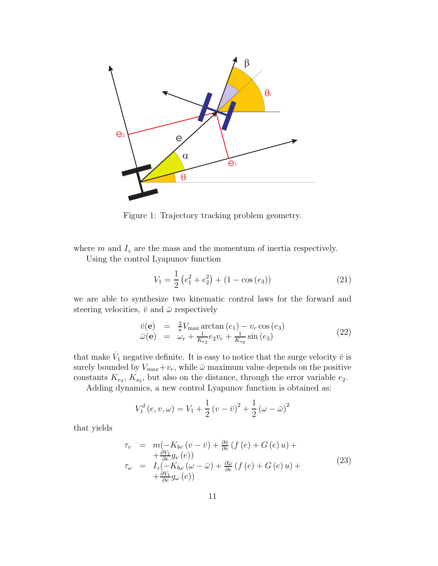

Figure 1: Trajectory tracking problem geometry.

where  $m$  and  $I_z$  are the mass and the momentum of inertia respectively.

Using the control Lyapunov function

$$
V_1 = \frac{1}{2} \left( e_1^2 + e_2^2 \right) + (1 - \cos(e_3)) \tag{21}
$$

we are able to synthesize two kinematic control laws for the forward and steering velocities,  $\bar{v}$  and  $\bar{\omega}$  respectively

$$
\begin{array}{rcl}\n\bar{v}(\mathbf{e}) & = & \frac{2}{\pi} V_{\text{max}} \arctan\left(e_1\right) - v_r \cos\left(e_3\right) \\
\bar{\omega}(\mathbf{e}) & = & \omega_r + \frac{1}{K_{e_3}} e_2 v_r + \frac{1}{K_{s_3}} \sin\left(e_3\right)\n\end{array} \tag{22}
$$

that make  $\dot{V}_1$  negative definite. It is easy to notice that the surge velocity  $\bar{v}$  is surely bounded by  $V_{max}+v_r$ , while  $\bar{\omega}$  maximum value depends on the positive constants  $K_{e_3}$ ,  $K_{s_3}$ , but also on the distance, through the error variable  $e_2$ .

Adding dynamics, a new control Lyapunov function is obtained as:

$$
V_1^d(e, v, \omega) = V_1 + \frac{1}{2}(v - \bar{v})^2 + \frac{1}{2}(\omega - \bar{\omega})^2
$$

that yields

$$
\tau_v = m(-K_{bv}(v - \bar{v}) + \frac{\partial \bar{v}}{\partial e}(f(e) + G(e)u) +\n+ \frac{\partial V_1}{\partial e}g_v(e))\n\tau_\omega = I_z(-K_{bv}( \omega - \bar{\omega}) + \frac{\partial \bar{\omega}}{\partial e}(f(e) + G(e)u) +\n+ \frac{\partial V_1}{\partial e}g_\omega(e))
$$
\n(23)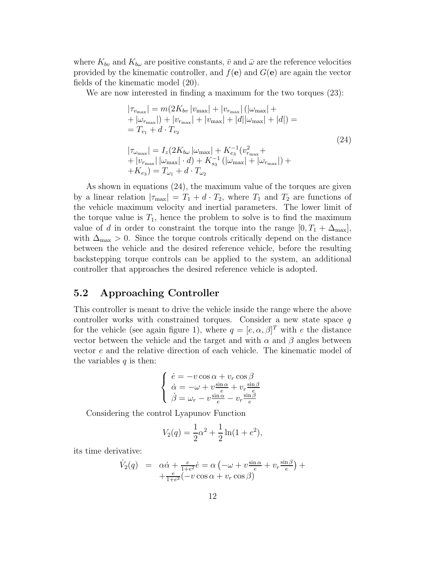where  $K_{bv}$  and  $K_{b\omega}$  are positive constants,  $\bar{v}$  and  $\bar{\omega}$  are the reference velocities provided by the kinematic controller, and  $f(\mathbf{e})$  and  $G(\mathbf{e})$  are again the vector fields of the kinematic model (20).

We are now interested in finding a maximum for the two torques (23):

$$
|\tau_{v_{\text{max}}}| = m(2K_{bv} | v_{\text{max}}| + |v_{r_{\text{max}}}| (|\omega_{\text{max}}| ++ |\omega_{r_{\text{max}}}| ) + |v_{r_{\text{max}}}| + |v_{\text{max}}| + |d| |\omega_{\text{max}}| + |d| ) == T_{v_1} + d \cdot T_{v_2}
$$
  

$$
|\tau_{\omega_{\text{max}}}| = I_z(2K_{bv} |\omega_{\text{max}}| + K_{e_3}^{-1} (v_{r_{\text{max}}}^2 ++ |v_{r_{\text{max}}}| |\omega_{\text{max}}| \cdot d) + K_{s_3}^{-1} (|\omega_{\text{max}}| + |\omega_{r_{\text{max}}}|) ++ K_{e_3}) = T_{\omega_1} + d \cdot T_{\omega_2}
$$
 (24)

As shown in equations (24), the maximum value of the torques are given by a linear relation  $|\tau_{\text{max}}| = T_1 + d \cdot T_2$ , where  $T_1$  and  $T_2$  are functions of the vehicle maximum velocity and inertial parameters. The lower limit of the torque value is  $T_1$ , hence the problem to solve is to find the maximum value of d in order to constraint the torque into the range  $[0, T_1 + \Delta_{\text{max}}]$ , with  $\Delta_{\text{max}} > 0$ . Since the torque controls critically depend on the distance between the vehicle and the desired reference vehicle, before the resulting backstepping torque controls can be applied to the system, an additional controller that approaches the desired reference vehicle is adopted.

## **5.2 Approaching Controller**

This controller is meant to drive the vehicle inside the range where the above controller works with constrained torques. Consider a new state space  $q$ for the vehicle (see again figure 1), where  $q = [e, \alpha, \beta]^T$  with e the distance vector between the vehicle and the target and with  $\alpha$  and  $\beta$  angles between vector e and the relative direction of each vehicle. The kinematic model of the variables  $q$  is then:

$$
\begin{cases}\n\dot{e} = -v \cos \alpha + v_r \cos \beta \\
\dot{\alpha} = -\omega + v \frac{\sin \alpha}{e} + v_r \frac{\sin \beta}{e} \\
\dot{\beta} = \omega_r - v \frac{\sin \alpha}{e} - v_r \frac{\sin \beta}{e}\n\end{cases}
$$

Considering the control Lyapunov Function

$$
V_2(q) = \frac{1}{2}\alpha^2 + \frac{1}{2}\ln(1 + e^2),
$$

its time derivative:

$$
\dot{V}_2(q) = \alpha \dot{\alpha} + \frac{e}{1+e^2} \dot{e} = \alpha \left( -\omega + v \frac{\sin \alpha}{e} + v_r \frac{\sin \beta}{e} \right) + \n+ \frac{e}{1+e^2} \left( -v \cos \alpha + v_r \cos \beta \right)
$$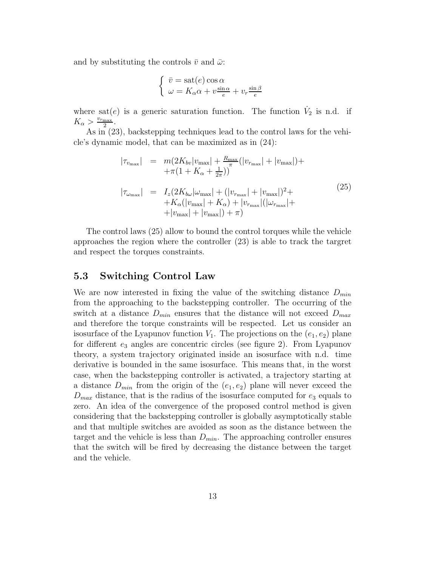and by substituting the controls  $\bar{v}$  and  $\bar{\omega}$ :

$$
\begin{cases} \bar{v} = \text{sat}(e) \cos \alpha \\ \omega = K_{\alpha} \alpha + v \frac{\sin \alpha}{e} + v_r \frac{\sin \beta}{e} \end{cases}
$$

where sat(e) is a generic saturation function. The function  $\dot{V}_2$  is n.d. if  $K_{\alpha} > \frac{v_{r_{\max}}}{2}$ .

As in (23), backstepping techniques lead to the control laws for the vehicle's dynamic model, that can be maximized as in (24):

$$
|\tau_{v_{\max}}| = m(2K_{bv}|v_{\max}| + \frac{R_{\max}}{\pi}(|v_{r_{\max}}| + |v_{\max}|) +
$$
  

$$
+\pi(1 + K_{\alpha} + \frac{1}{2\pi}))
$$
  

$$
|\tau_{\omega_{\max}}| = I_z(2K_{b\omega}|\omega_{\max}| + (|v_{r_{\max}}| + |v_{\max}|)^2 +
$$
  

$$
+ K_{\alpha}(|v_{\max}| + K_{\alpha}) + |v_{r_{\max}}|(|\omega_{r_{\max}}| +
$$
  

$$
+ |v_{\max}| + |v_{\max}|) + \pi)
$$
  
(25)

The control laws (25) allow to bound the control torques while the vehicle approaches the region where the controller (23) is able to track the targret and respect the torques constraints.

### **5.3 Switching Control Law**

We are now interested in fixing the value of the switching distance  $D_{min}$ from the approaching to the backstepping controller. The occurring of the switch at a distance  $D_{min}$  ensures that the distance will not exceed  $D_{max}$ and therefore the torque constraints will be respected. Let us consider an isosurface of the Lyapunov function  $V_1$ . The projections on the  $(e_1, e_2)$  plane for different  $e_3$  angles are concentric circles (see figure 2). From Lyapunov theory, a system trajectory originated inside an isosurface with n.d. time derivative is bounded in the same isosurface. This means that, in the worst case, when the backstepping controller is activated, a trajectory starting at a distance  $D_{min}$  from the origin of the  $(e_1, e_2)$  plane will never exceed the  $D_{max}$  distance, that is the radius of the isosurface computed for  $e_3$  equals to zero. An idea of the convergence of the proposed control method is given considering that the backstepping controller is globally asymptotically stable and that multiple switches are avoided as soon as the distance between the target and the vehicle is less than  $D_{min}$ . The approaching controller ensures that the switch will be fired by decreasing the distance between the target and the vehicle.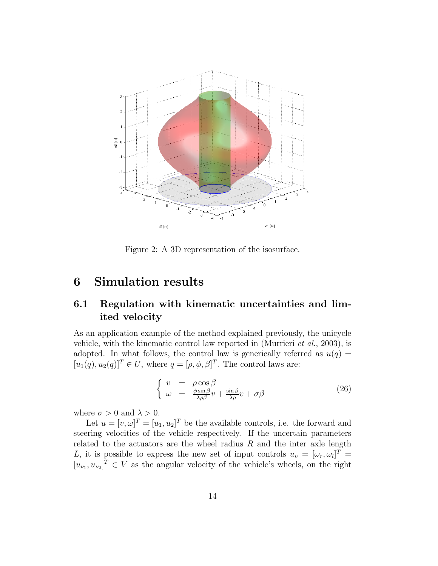

Figure 2: A 3D representation of the isosurface.

## **6 Simulation results**

## **6.1 Regulation with kinematic uncertainties and limited velocity**

As an application example of the method explained previously, the unicycle vehicle, with the kinematic control law reported in (Murrieri *et al.*, 2003), is adopted. In what follows, the control law is generically referred as  $u(q) =$  $[u_1(q), u_2(q)]^T \in U$ , where  $q = [\rho, \phi, \beta]^T$ . The control laws are:

$$
\begin{cases}\nv = \rho \cos \beta \\
\omega = \frac{\phi \sin \beta}{\lambda \rho \beta} v + \frac{\sin \beta}{\lambda \rho} v + \sigma \beta\n\end{cases} \tag{26}
$$

where  $\sigma > 0$  and  $\lambda > 0$ .

Let  $u = [v, \omega]^T = [u_1, u_2]^T$  be the available controls, i.e. the forward and steering velocities of the vehicle respectively. If the uncertain parameters related to the actuators are the wheel radius  $R$  and the inter axle length L, it is possible to express the new set of input controls  $u_{\nu} = [\omega_r, \omega_l]^T =$  $[u_{\nu_1}, u_{\nu_2}]^T \in V$  as the angular velocity of the vehicle's wheels, on the right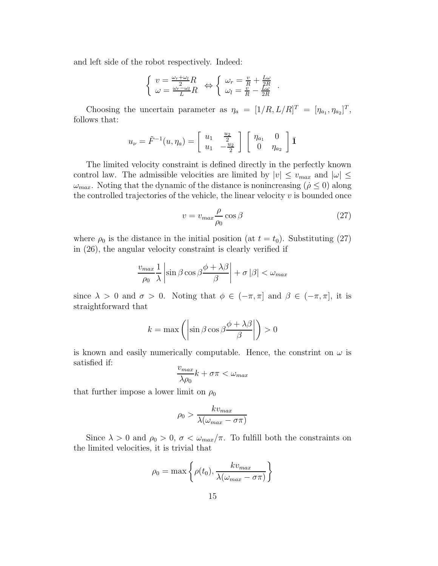and left side of the robot respectively. Indeed:

$$
\left\{ \begin{array}{l} v=\frac{\omega_r+\omega_l}{2}R \\ \omega=\frac{\omega_r-\omega_l}{L}R \end{array} \right. \Leftrightarrow \left\{ \begin{array}{l} \omega_r=\frac{v}{R}+\frac{L\omega}{2R} \\ \omega_l=\frac{v}{R}-\frac{L\omega}{2R} \end{array} \right. .
$$

Choosing the uncertain parameter as  $\eta_a = [1/R, L/R]^T = [\eta_{a_1}, \eta_{a_2}]^T$ , follows that:

$$
u_{\nu} = \tilde{F}^{-1}(u, \eta_a) = \begin{bmatrix} u_1 & \frac{u_2}{2} \\ u_1 & -\frac{u_2}{2} \end{bmatrix} \begin{bmatrix} \eta_{a_1} & 0 \\ 0 & \eta_{a_2} \end{bmatrix} \mathbf{\overline{1}}
$$

The limited velocity constraint is defined directly in the perfectly known control law. The admissible velocities are limited by  $|v| \le v_{max}$  and  $|\omega| \le$  $\omega_{max}$ . Noting that the dynamic of the distance is nonincreasing ( $\dot{\rho} \leq 0$ ) along the controlled trajectories of the vehicle, the linear velocity  $v$  is bounded once

$$
v = v_{max} \frac{\rho}{\rho_0} \cos \beta \tag{27}
$$

where  $\rho_0$  is the distance in the initial position (at  $t = t_0$ ). Substituting (27) in (26), the angular velocity constraint is clearly verified if

$$
\frac{v_{max}}{\rho_0} \frac{1}{\lambda} \left| \sin \beta \cos \beta \frac{\phi + \lambda \beta}{\beta} \right| + \sigma |\beta| < \omega_{max}
$$

since  $\lambda > 0$  and  $\sigma > 0$ . Noting that  $\phi \in (-\pi, \pi]$  and  $\beta \in (-\pi, \pi]$ , it is straightforward that

$$
k = \max\left(\left|\sin\beta\cos\beta\frac{\phi + \lambda\beta}{\beta}\right|\right) > 0
$$

is known and easily numerically computable. Hence, the constrint on  $\omega$  is satisfied if:

$$
\frac{v_{max}}{\lambda \rho_0} k + \sigma \pi < \omega_{max}
$$

that further impose a lower limit on  $\rho_0$ 

$$
\rho_0 > \frac{k v_{max}}{\lambda(\omega_{max} - \sigma \pi)}
$$

Since  $\lambda > 0$  and  $\rho_0 > 0$ ,  $\sigma < \omega_{max}/\pi$ . To fulfill both the constraints on the limited velocities, it is trivial that

$$
\rho_0 = \max\left\{\rho(t_0), \frac{k v_{max}}{\lambda(\omega_{max} - \sigma \pi)}\right\}
$$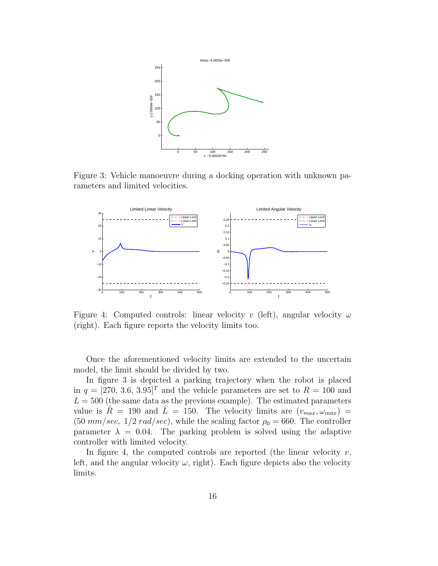

Figure 3: Vehicle manoeuvre during a docking operation with unknown parameters and limited velocities.



Figure 4: Computed controls: linear velocity v (left), angular velocity  $\omega$ (right). Each figure reports the velocity limits too.

Once the aforementioned velocity limits are extended to the uncertain model, the limit should be divided by two.

In figure 3 is depicted a parking trajectory when the robot is placed in  $q = [270, 3.6, 3.95]^T$  and the vehicle parameters are set to  $R = 100$  and  $L = 500$  (the same data as the previous example). The estimated parameters value is  $\bar{R} = 190$  and  $\bar{L} = 150$ . The velocity limits are  $(v_{max}, \omega_{max}) =$  $(50 \, mm/sec, 1/2 \, rad/sec),$  while the scaling factor  $\rho_0 = 660$ . The controller parameter  $\lambda = 0.04$ . The parking problem is solved using the adaptive controller with limited velocity.

In figure 4, the computed controls are reported (the linear velocity  $v$ , left, and the angular velocity  $\omega$ , right). Each figure depicts also the velocity limits.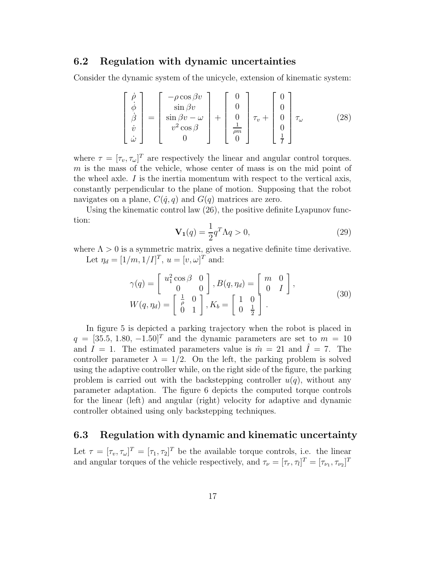#### **6.2 Regulation with dynamic uncertainties**

Consider the dynamic system of the unicycle, extension of kinematic system:

$$
\begin{bmatrix}\n\dot{\rho} \\
\dot{\phi} \\
\dot{\beta} \\
\dot{\omega}\n\end{bmatrix} = \begin{bmatrix}\n-\rho \cos \beta v \\
\sin \beta v \\
\sin \beta v - \omega \\
v^2 \cos \beta \\
0\n\end{bmatrix} + \begin{bmatrix}\n0 \\
0 \\
0 \\
\frac{1}{\rho m} \\
0\n\end{bmatrix} \tau_v + \begin{bmatrix}\n0 \\
0 \\
0 \\
0 \\
\frac{1}{I}\n\end{bmatrix} \tau_{\omega}
$$
\n(28)

where  $\tau = [\tau_v, \tau_\omega]^T$  are respectively the linear and angular control torques.  $m$  is the mass of the vehicle, whose center of mass is on the mid point of the wheel axle.  $I$  is the inertia momentum with respect to the vertical axis, constantly perpendicular to the plane of motion. Supposing that the robot navigates on a plane,  $C(\dot{q}, q)$  and  $G(q)$  matrices are zero.

Using the kinematic control law  $(26)$ , the positive definite Lyapunov function:

$$
\mathbf{V}_1(q) = \frac{1}{2}q^T \Lambda q > 0,\tag{29}
$$

where  $\Lambda > 0$  is a symmetric matrix, gives a negative definite time derivative. Let  $\eta_d = [1/m, 1/I]^T$ ,  $u = [v, \omega]^T$  and:

$$
\gamma(q) = \begin{bmatrix} u_1^2 \cos \beta & 0 \\ 0 & 0 \end{bmatrix}, B(q, \eta_d) = \begin{bmatrix} m & 0 \\ 0 & I \end{bmatrix},
$$
  
\n
$$
W(q, \eta_d) = \begin{bmatrix} \frac{1}{\rho} & 0 \\ 0 & 1 \end{bmatrix}, K_b = \begin{bmatrix} 1 & 0 \\ 0 & \frac{1}{2} \end{bmatrix}.
$$
\n(30)

In figure 5 is depicted a parking trajectory when the robot is placed in  $q = \left[35.5, 1.80, -1.50\right]^T$  and the dynamic parameters are set to  $m = 10$ and  $I = 1$ . The estimated parameters value is  $\hat{m} = 21$  and  $\hat{I} = 7$ . The controller parameter  $\lambda = 1/2$ . On the left, the parking problem is solved using the adaptive controller while, on the right side of the figure, the parking problem is carried out with the backstepping controller  $u(q)$ , without any parameter adaptation. The figure 6 depicts the computed torque controls for the linear (left) and angular (right) velocity for adaptive and dynamic controller obtained using only backstepping techniques.

### **6.3 Regulation with dynamic and kinematic uncertainty**

Let  $\tau = [\tau_v, \tau_{\omega}]^T = [\tau_1, \tau_2]^T$  be the available torque controls, i.e. the linear and angular torques of the vehicle respectively, and  $\tau_{\nu} = [\tau_r, \tau_l]^T = [\tau_{\nu_1}, \tau_{\nu_2}]^T$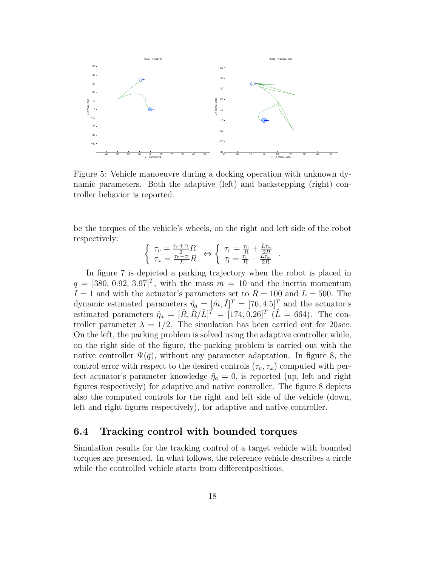

Figure 5: Vehicle manoeuvre during a docking operation with unknown dynamic parameters. Both the adaptive (left) and backstepping (right) controller behavior is reported.

be the torques of the vehicle's wheels, on the right and left side of the robot respectively:

$$
\left\{ \begin{array}{l} \tau_v = \frac{\tau_r + \tau_l}{2} R \\ \tau_\omega = \frac{\tau_r - \tau_l}{L} R \end{array} \right. \Leftrightarrow \left\{ \begin{array}{l} \tau_r = \frac{\tau_v}{R} + \frac{L \tau_\omega}{2R} \\ \tau_l = \frac{\tau_v}{R} - \frac{L \tau_\omega}{2R} \end{array} \right. .
$$

In figure 7 is depicted a parking trajectory when the robot is placed in  $q = \left[\frac{380}{0.92}, \frac{3.97}{7}\right]^T$ , with the mass  $m = 10$  and the inertia momentum  $I = 1$  and with the actuator's parameters set to  $R = 100$  and  $L = 500$ . The dynamic estimated parameters  $\hat{\eta}_d = [\hat{m}, \hat{I}]^T = [76, 4.5]^T$  and the actuator's estimated parameters  $\hat{\eta}_a = [\hat{R}, \hat{R}/\hat{L}]^T = [174, 0.26]^T (\hat{L} = 664)$ . The controller parameter  $\lambda = 1/2$ . The simulation has been carried out for 20sec. On the left, the parking problem is solved using the adaptive controller while, on the right side of the figure, the parking problem is carried out with the native controller  $\Psi(q)$ , without any parameter adaptation. In figure 8, the control error with respect to the desired controls  $(\tau_v, \tau_\omega)$  computed with perfect actuator's parameter knowledge  $\tilde{\eta}_a = 0$ , is reported (up, left and right figures respectively) for adaptive and native controller. The figure 8 depicts also the computed controls for the right and left side of the vehicle (down, left and right figures respectively), for adaptive and native controller.

### **6.4 Tracking control with bounded torques**

Simulation results for the tracking control of a target vehicle with bounded torques are presented. In what follows, the reference vehicle describes a circle while the controlled vehicle starts from differentpositions.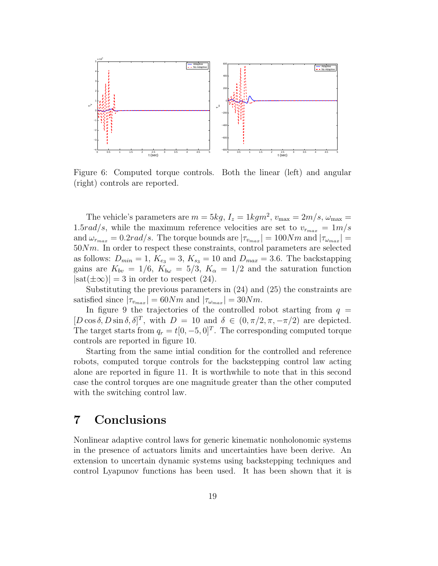

Figure 6: Computed torque controls. Both the linear (left) and angular (right) controls are reported.

The vehicle's parameters are  $m = 5kg$ ,  $I_z = 1kgm^2$ ,  $v_{\text{max}} = 2m/s$ ,  $\omega_{\text{max}} =$ 1.5rad/s, while the maximum reference velocities are set to  $v_{r_{max}} = 1m/s$ and  $\omega_{r_{max}} = 0.2 \text{rad/s}$ . The torque bounds are  $|\tau_{v_{max}}| = 100 \text{Nm}$  and  $|\tau_{v_{max}}| =$  $50Nm$ . In order to respect these constraints, control parameters are selected as follows:  $D_{min} = 1$ ,  $K_{e_3} = 3$ ,  $K_{s_3} = 10$  and  $D_{max} = 3.6$ . The backstapping gains are  $K_{bv} = 1/6$ ,  $K_{bv} = 5/3$ ,  $K_{\alpha} = 1/2$  and the saturation function  $|\text{sat}(\pm\infty)|=3$  in order to respect (24).

Substituting the previous parameters in (24) and (25) the constraints are satisfied since  $|\tau_{v_{max}}| = 60Nm$  and  $|\tau_{w_{max}}| = 30Nm$ .

In figure 9 the trajectories of the controlled robot starting from  $q =$  $[D\cos\delta, D\sin\delta, \delta]^T$ , with  $D = 10$  and  $\delta \in (0, \pi/2, \pi, -\pi/2)$  are depicted. The target starts from  $q_r = t[0, -5, 0]^T$ . The corresponding computed torque controls are reported in figure 10.

Starting from the same intial condition for the controlled and reference robots, computed torque controls for the backstepping control law acting alone are reported in figure 11. It is worthwhile to note that in this second case the control torques are one magnitude greater than the other computed with the switching control law.

## **7 Conclusions**

Nonlinear adaptive control laws for generic kinematic nonholonomic systems in the presence of actuators limits and uncertainties have been derive. An extension to uncertain dynamic systems using backstepping techniques and control Lyapunov functions has been used. It has been shown that it is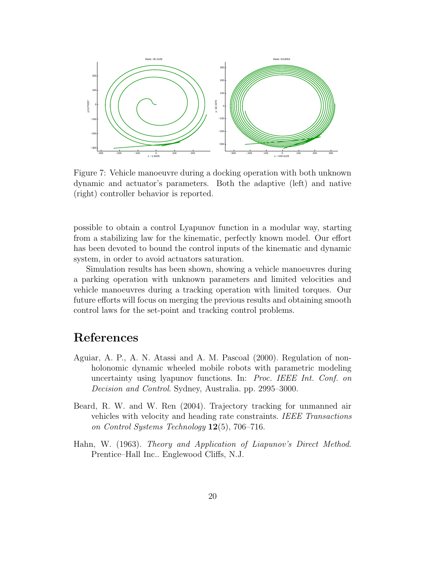

Figure 7: Vehicle manoeuvre during a docking operation with both unknown dynamic and actuator's parameters. Both the adaptive (left) and native (right) controller behavior is reported.

possible to obtain a control Lyapunov function in a modular way, starting from a stabilizing law for the kinematic, perfectly known model. Our effort has been devoted to bound the control inputs of the kinematic and dynamic system, in order to avoid actuators saturation.

Simulation results has been shown, showing a vehicle manoeuvres during a parking operation with unknown parameters and limited velocities and vehicle manoeuvres during a tracking operation with limited torques. Our future efforts will focus on merging the previous results and obtaining smooth control laws for the set-point and tracking control problems.

# **References**

- Aguiar, A. P., A. N. Atassi and A. M. Pascoal (2000). Regulation of nonholonomic dynamic wheeled mobile robots with parametric modeling uncertainty using lyapunov functions. In: *Proc. IEEE Int. Conf. on Decision and Control*. Sydney, Australia. pp. 2995–3000.
- Beard, R. W. and W. Ren (2004). Trajectory tracking for unmanned air vehicles with velocity and heading rate constraints. *IEEE Transactions on Control Systems Technology* **12**(5), 706–716.
- Hahn, W. (1963). *Theory and Application of Liapunov's Direct Method*. Prentice–Hall Inc.. Englewood Cliffs, N.J.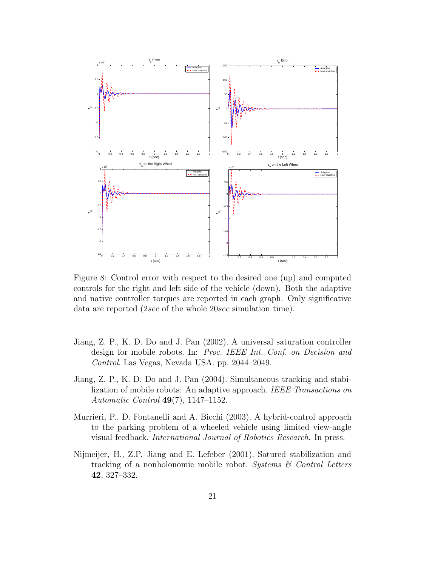

Figure 8: Control error with respect to the desired one (up) and computed controls for the right and left side of the vehicle (down). Both the adaptive and native controller torques are reported in each graph. Only significative data are reported (2sec of the whole 20sec simulation time).

- Jiang, Z. P., K. D. Do and J. Pan (2002). A universal saturation controller design for mobile robots. In: *Proc. IEEE Int. Conf. on Decision and Control*. Las Vegas, Nevada USA. pp. 2044–2049.
- Jiang, Z. P., K. D. Do and J. Pan (2004). Simultaneous tracking and stabilization of mobile robots: An adaptive approach. *IEEE Transactions on Automatic Control* **49**(7), 1147–1152.
- Murrieri, P., D. Fontanelli and A. Bicchi (2003). A hybrid-control approach to the parking problem of a wheeled vehicle using limited view-angle visual feedback. *International Journal of Robotics Research*. In press.
- Nijmeijer, H., Z.P. Jiang and E. Lefeber (2001). Satured stabilization and tracking of a nonholonomic mobile robot. *Systems & Control Letters* **42**, 327–332.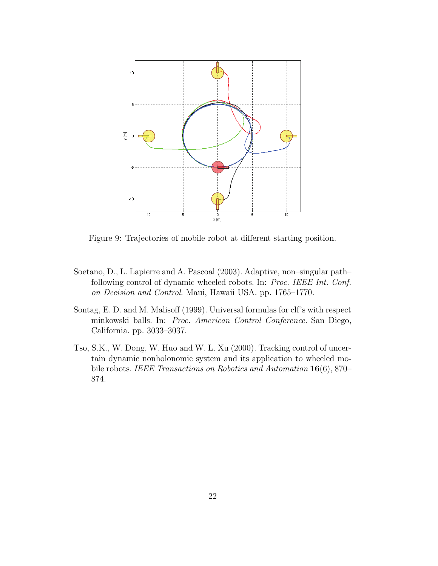

Figure 9: Trajectories of mobile robot at different starting position.

- Soetano, D., L. Lapierre and A. Pascoal (2003). Adaptive, non–singular path– following control of dynamic wheeled robots. In: *Proc. IEEE Int. Conf. on Decision and Control*. Maui, Hawaii USA. pp. 1765–1770.
- Sontag, E. D. and M. Malisoff (1999). Universal formulas for clf's with respect minkowski balls. In: *Proc. American Control Conference*. San Diego, California. pp. 3033–3037.
- Tso, S.K., W. Dong, W. Huo and W. L. Xu (2000). Tracking control of uncertain dynamic nonholonomic system and its application to wheeled mobile robots. *IEEE Transactions on Robotics and Automation* **16**(6), 870– 874.